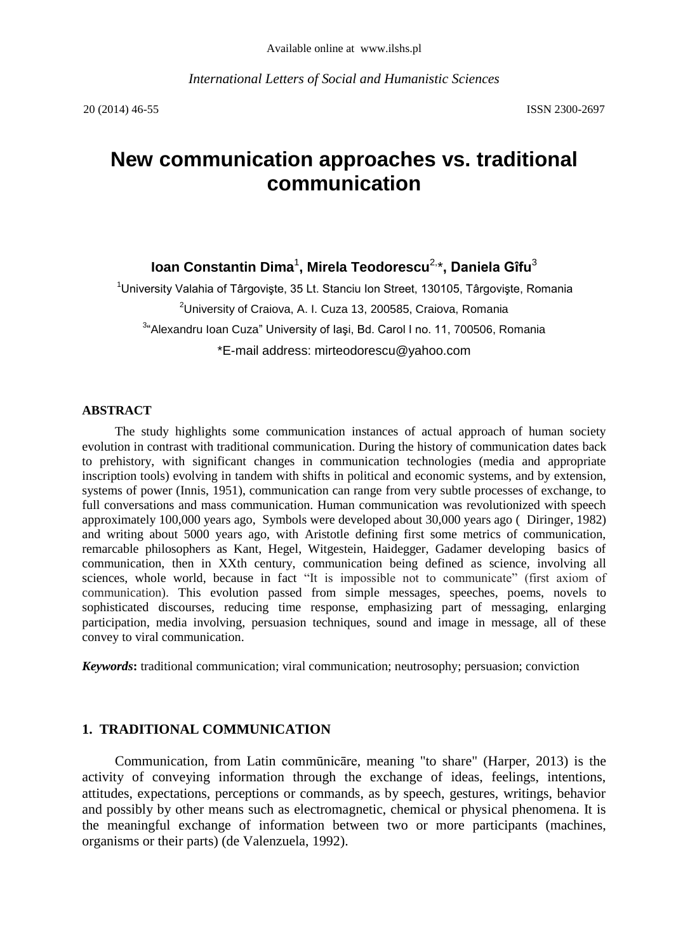*International Letters of Social and Humanistic Sciences*

# **New communication approaches vs. traditional communication**

**Ioan Constantin Dima**<sup>1</sup> **, Mirela Teodorescu**2, \***, Daniela Gîfu**<sup>3</sup>

 $1$ University Valahia of Târgoviște, 35 Lt. Stanciu Ion Street, 130105, Târgoviște, Romania <sup>2</sup>University of Craiova, A. I. Cuza 13, 200585, Craiova, Romania <sup>3</sup>"Alexandru Ioan Cuza" University of Iaşi, Bd. Carol I no. 11, 700506, Romania \*E-mail address: mirteodorescu@yahoo.com

#### **ABSTRACT**

The study highlights some communication instances of actual approach of human society evolution in contrast with traditional communication. During the history of communication dates back to prehistory, with significant changes in communication technologies (media and appropriate inscription tools) evolving in tandem with shifts in political and economic systems, and by extension, systems of power (Innis, 1951), communication can range from very subtle processes of exchange, to full conversations and mass communication. Human communication was revolutionized with speech approximately 100,000 years ago, Symbols were developed about 30,000 years ago ( Diringer, 1982) and writing about 5000 years ago, with Aristotle defining first some metrics of communication, remarcable philosophers as Kant, Hegel, Witgestein, Haidegger, Gadamer developing basics of communication, then in XXth century, communication being defined as science, involving all sciences, whole world, because in fact "It is impossible not to communicate" (first axiom of communication). This evolution passed from simple messages, speeches, poems, novels to sophisticated discourses, reducing time response, emphasizing part of messaging, enlarging participation, media involving, persuasion techniques, sound and image in message, all of these convey to viral communication.

*Keywords***:** traditional communication; viral communication; neutrosophy; persuasion; conviction

### **1. TRADITIONAL COMMUNICATION**

Communication, from Latin commūnicāre, meaning "to share" (Harper, 2013) is the activity of conveying information through the exchange of ideas, feelings, intentions, attitudes, expectations, perceptions or commands, as by speech, gestures, writings, behavior and possibly by other means such as electromagnetic, chemical or physical phenomena. It is the meaningful exchange of information between two or more participants (machines, organisms or their parts) (de Valenzuela, 1992).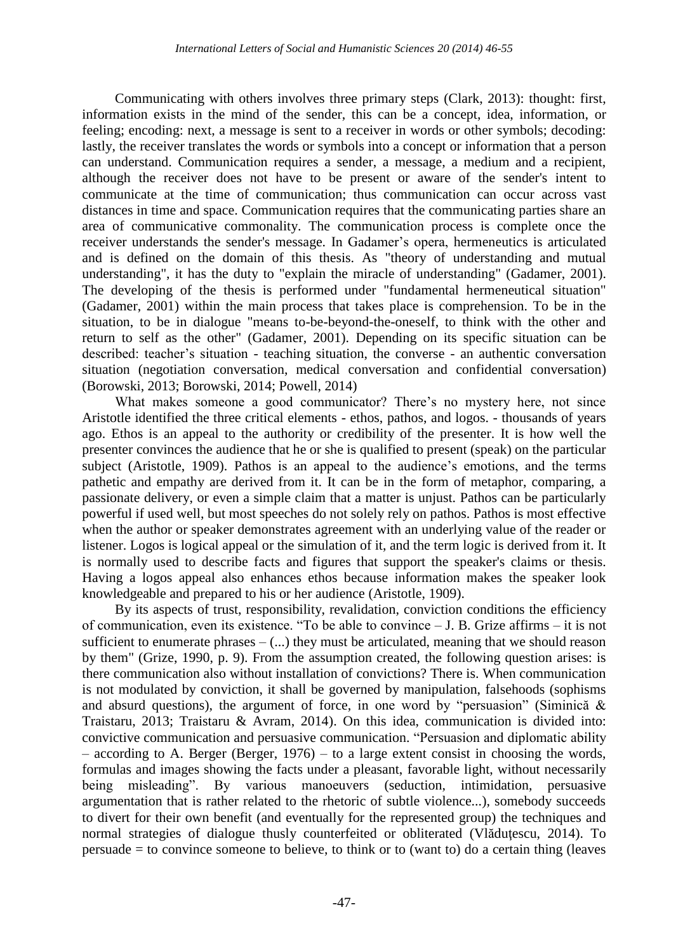Communicating with others involves three primary steps (Clark, 2013): thought: first, information exists in the mind of the sender, this can be a concept, idea, information, or feeling; encoding: next, a message is sent to a receiver in words or other symbols; decoding: lastly, the receiver translates the words or symbols into a concept or information that a person can understand. Communication requires a sender, a message, a medium and a recipient, although the receiver does not have to be present or aware of the sender's intent to communicate at the time of communication; thus communication can occur across vast distances in time and space. Communication requires that the communicating parties share an area of communicative commonality. The communication process is complete once the receiver understands the sender's message. In Gadamer's opera, hermeneutics is articulated and is defined on the domain of this thesis. As "theory of understanding and mutual understanding", it has the duty to "explain the miracle of understanding" (Gadamer, 2001). The developing of the thesis is performed under "fundamental hermeneutical situation" (Gadamer, 2001) within the main process that takes place is comprehension. To be in the situation, to be in dialogue "means to-be-beyond-the-oneself, to think with the other and return to self as the other" (Gadamer, 2001). Depending on its specific situation can be described: teacher's situation - teaching situation, the converse - an authentic conversation situation (negotiation conversation, medical conversation and confidential conversation) (Borowski, 2013; Borowski, 2014; Powell, 2014)

What makes someone a good communicator? There's no mystery here, not since Aristotle identified the three critical elements - ethos, pathos, and logos. - thousands of years ago. Ethos is an appeal to the authority or credibility of the presenter. It is how well the presenter convinces the audience that he or she is qualified to present (speak) on the particular subject (Aristotle, 1909). Pathos is an appeal to the audience's emotions, and the terms pathetic and empathy are derived from it. It can be in the form of metaphor, comparing, a passionate delivery, or even a simple claim that a matter is unjust. Pathos can be particularly powerful if used well, but most speeches do not solely rely on pathos. Pathos is most effective when the author or speaker demonstrates agreement with an underlying value of the reader or listener. Logos is logical appeal or the simulation of it, and the term logic is derived from it. It is normally used to describe facts and figures that support the speaker's claims or thesis. Having a logos appeal also enhances ethos because information makes the speaker look knowledgeable and prepared to his or her audience (Aristotle, 1909).

By its aspects of trust, responsibility, revalidation, conviction conditions the efficiency of communication, even its existence. "To be able to convince – J. B. Grize affirms – it is not sufficient to enumerate phrases  $-$  (...) they must be articulated, meaning that we should reason by them" (Grize, 1990, p. 9). From the assumption created, the following question arises: is there communication also without installation of convictions? There is. When communication is not modulated by conviction, it shall be governed by manipulation, falsehoods (sophisms and absurd questions), the argument of force, in one word by "persuasion" (Siminică  $\&$ Traistaru, 2013; Traistaru & Avram, 2014). On this idea, communication is divided into: convictive communication and persuasive communication. "Persuasion and diplomatic ability – according to A. Berger (Berger, 1976) – to a large extent consist in choosing the words, formulas and images showing the facts under a pleasant, favorable light, without necessarily being misleading". By various manoeuvers (seduction, intimidation, persuasive argumentation that is rather related to the rhetoric of subtle violence...), somebody succeeds to divert for their own benefit (and eventually for the represented group) the techniques and normal strategies of dialogue thusly counterfeited or obliterated (Vlăduţescu, 2014). To persuade = to convince someone to believe, to think or to (want to) do a certain thing (leaves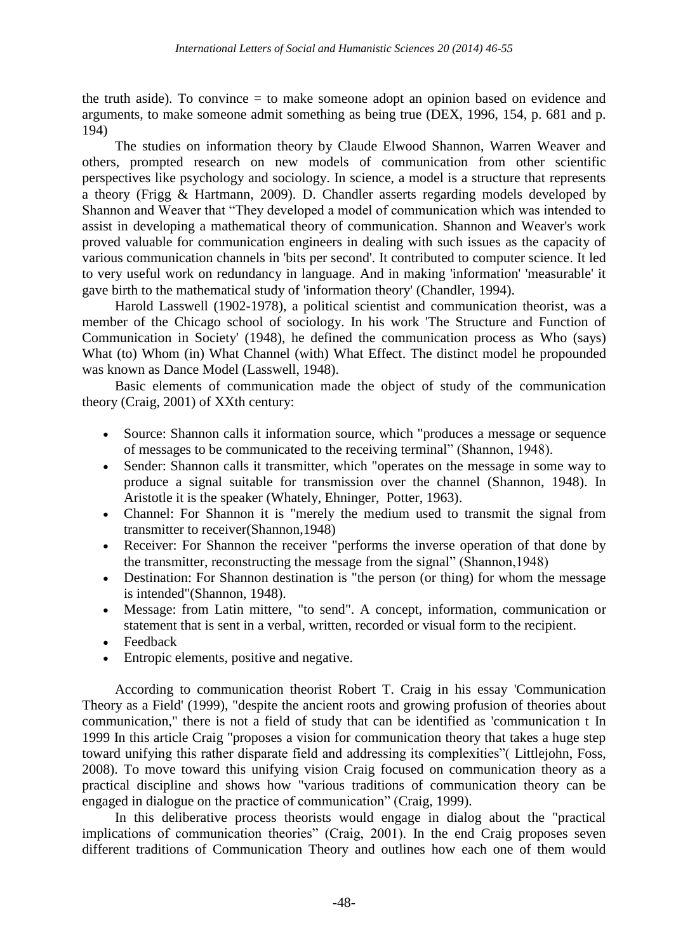the truth aside). To convince = to make someone adopt an opinion based on evidence and arguments, to make someone admit something as being true (DEX, 1996, 154, p. 681 and p. 194)

The studies on information theory by Claude Elwood Shannon, Warren Weaver and others, prompted research on new models of communication from other scientific perspectives like psychology and sociology. In science, a model is a structure that represents a theory (Frigg & Hartmann, 2009). D. Chandler asserts regarding models developed by Shannon and Weaver that "They developed a model of communication which was intended to assist in developing a mathematical theory of communication. Shannon and Weaver's work proved valuable for communication engineers in dealing with such issues as the capacity of various communication channels in 'bits per second'. It contributed to computer science. It led to very useful work on redundancy in language. And in making 'information' 'measurable' it gave birth to the mathematical study of 'information theory' (Chandler, 1994).

Harold Lasswell (1902-1978), a political scientist and communication theorist, was a member of the Chicago school of sociology. In his work 'The Structure and Function of Communication in Society' (1948), he defined the communication process as Who (says) What (to) Whom (in) What Channel (with) What Effect. The distinct model he propounded was known as Dance Model (Lasswell, 1948).

Basic elements of communication made the object of study of the communication theory (Craig, 2001) of XXth century:

- Source: Shannon calls it information source, which "produces a message or sequence of messages to be communicated to the receiving terminal" (Shannon, 1948).
- Sender: Shannon calls it transmitter, which "operates on the message in some way to produce a signal suitable for transmission over the channel (Shannon, 1948). In Aristotle it is the speaker (Whately, Ehninger, Potter, 1963).
- Channel: For Shannon it is "merely the medium used to transmit the signal from transmitter to receiver(Shannon,1948)
- Receiver: For Shannon the receiver "performs the inverse operation of that done by the transmitter, reconstructing the message from the signal" (Shannon,1948)
- Destination: For Shannon destination is "the person (or thing) for whom the message is intended"(Shannon, 1948).
- Message: from Latin mittere, "to send". A concept, information, communication or statement that is sent in a verbal, written, recorded or visual form to the recipient.
- Feedback
- Entropic elements, positive and negative.

According to communication theorist Robert T. Craig in his essay 'Communication Theory as a Field' (1999), "despite the ancient roots and growing profusion of theories about communication," there is not a field of study that can be identified as 'communication t In 1999 In this article Craig "proposes a vision for communication theory that takes a huge step toward unifying this rather disparate field and addressing its complexities"( Littlejohn, Foss, 2008). To move toward this unifying vision Craig focused on communication theory as a practical discipline and shows how "various traditions of communication theory can be engaged in dialogue on the practice of communication" (Craig, 1999).

In this deliberative process theorists would engage in dialog about the "practical implications of communication theories" (Craig, 2001). In the end Craig proposes seven different traditions of Communication Theory and outlines how each one of them would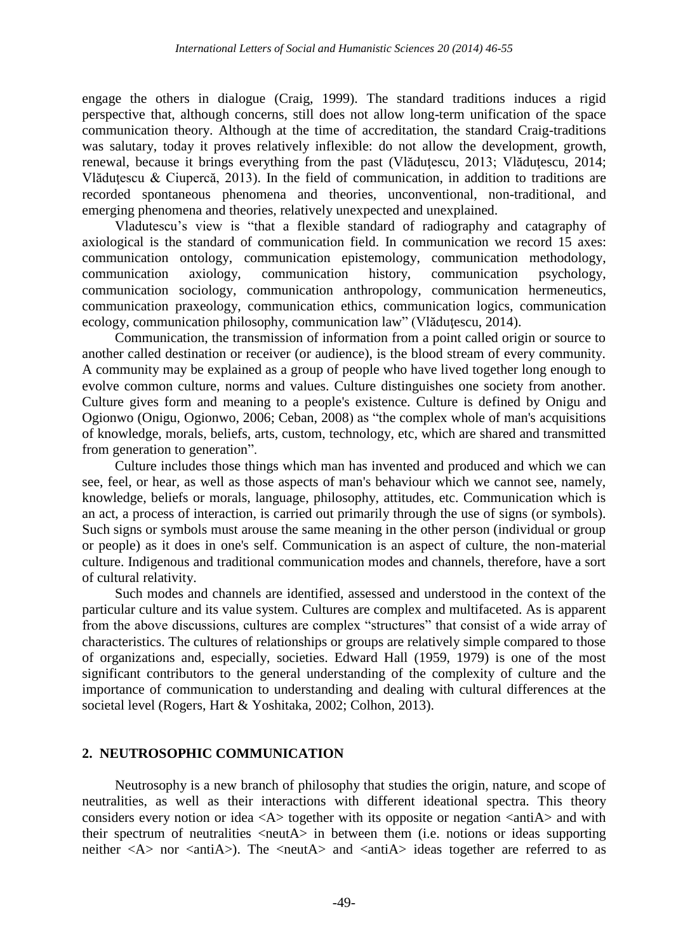engage the others in dialogue (Craig, 1999). The standard traditions induces a rigid perspective that, although concerns, still does not allow long-term unification of the space communication theory. Although at the time of accreditation, the standard Craig-traditions was salutary, today it proves relatively inflexible: do not allow the development, growth, renewal, because it brings everything from the past (Vlăduțescu, 2013; Vlăduțescu, 2014; Vlăduțescu  $\&$  Ciupercă, 2013). In the field of communication, in addition to traditions are recorded spontaneous phenomena and theories, unconventional, non-traditional, and emerging phenomena and theories, relatively unexpected and unexplained.

Vladutescu's view is "that a flexible standard of radiography and catagraphy of axiological is the standard of communication field. In communication we record 15 axes: communication ontology, communication epistemology, communication methodology, communication axiology, communication history, communication psychology, communication sociology, communication anthropology, communication hermeneutics, communication praxeology, communication ethics, communication logics, communication ecology, communication philosophy, communication law" (Vlăduţescu, 2014).

Communication, the transmission of information from a point called origin or source to another called destination or receiver (or audience), is the blood stream of every community. A community may be explained as a group of people who have lived together long enough to evolve common culture, norms and values. Culture distinguishes one society from another. Culture gives form and meaning to a people's existence. Culture is defined by Onigu and Ogionwo (Onigu, Ogionwo, 2006; Ceban, 2008) as "the complex whole of man's acquisitions of knowledge, morals, beliefs, arts, custom, technology, etc, which are shared and transmitted from generation to generation".

Culture includes those things which man has invented and produced and which we can see, feel, or hear, as well as those aspects of man's behaviour which we cannot see, namely, knowledge, beliefs or morals, language, philosophy, attitudes, etc. Communication which is an act, a process of interaction, is carried out primarily through the use of signs (or symbols). Such signs or symbols must arouse the same meaning in the other person (individual or group or people) as it does in one's self. Communication is an aspect of culture, the non-material culture. Indigenous and traditional communication modes and channels, therefore, have a sort of cultural relativity.

Such modes and channels are identified, assessed and understood in the context of the particular culture and its value system. Cultures are complex and multifaceted. As is apparent from the above discussions, cultures are complex "structures" that consist of a wide array of characteristics. The cultures of relationships or groups are relatively simple compared to those of organizations and, especially, societies. Edward Hall (1959, 1979) is one of the most significant contributors to the general understanding of the complexity of culture and the importance of communication to understanding and dealing with cultural differences at the societal level (Rogers, Hart & Yoshitaka, 2002; Colhon, 2013).

## **2. NEUTROSOPHIC COMMUNICATION**

Neutrosophy is a new branch of philosophy that studies the origin, nature, and scope of neutralities, as well as their interactions with different ideational spectra. This theory considers every notion or idea  $\langle A \rangle$  together with its opposite or negation  $\langle \text{anti}A \rangle$  and with their spectrum of neutralities  $\langle$  neut $A \rangle$  in between them (i.e. notions or ideas supporting neither  $\langle A \rangle$  nor  $\langle$ anti $A \rangle$ ). The  $\langle$ neut $A \rangle$  and  $\langle$ anti $A \rangle$  ideas together are referred to as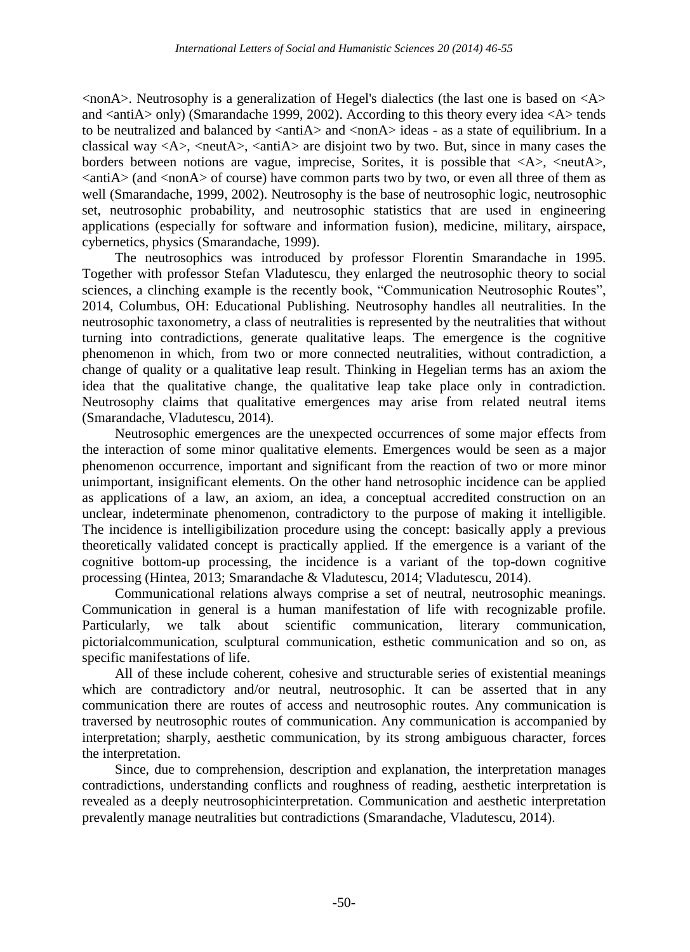$\langle$  monA $>$ . Neutrosophy is a generalization of Hegel's dialectics (the last one is based on  $\langle$ A $>$ and  $\langle \text{anti}A \rangle$  only) (Smarandache 1999, 2002). According to this theory every idea  $\langle A \rangle$  tends to be neutralized and balanced by  $\langle \text{antiA}\rangle$  and  $\langle \text{nonA}\rangle$  ideas - as a state of equilibrium. In a classical way  $\langle A \rangle$ ,  $\langle \text{neut}A \rangle$ ,  $\langle \text{anti}A \rangle$  are disjoint two by two. But, since in many cases the borders between notions are vague, imprecise, Sorites, it is possible that  $\langle A \rangle$ ,  $\langle \text{neut} A \rangle$ ,  $\langle \text{antiA}\rangle$  (and  $\langle \text{nonA}\rangle$  of course) have common parts two by two, or even all three of them as well (Smarandache, 1999, 2002). Neutrosophy is the base of neutrosophic logic, neutrosophic set, neutrosophic probability, and neutrosophic statistics that are used in engineering applications (especially for software and information fusion), medicine, military, airspace, cybernetics, physics (Smarandache, 1999).

The neutrosophics was introduced by professor Florentin Smarandache in 1995. Together with professor Stefan Vladutescu, they enlarged the neutrosophic theory to social sciences, a clinching example is the recently book, "Communication Neutrosophic Routes", 2014, Columbus, OH: Educational Publishing. Neutrosophy handles all neutralities. In the neutrosophic taxonometry, a class of neutralities is represented by the neutralities that without turning into contradictions, generate qualitative leaps. The emergence is the cognitive phenomenon in which, from two or more connected neutralities, without contradiction, a change of quality or a qualitative leap result. Thinking in Hegelian terms has an axiom the idea that the qualitative change, the qualitative leap take place only in contradiction. Neutrosophy claims that qualitative emergences may arise from related neutral items (Smarandache, Vladutescu, 2014).

Neutrosophic emergences are the unexpected occurrences of some major effects from the interaction of some minor qualitative elements. Emergences would be seen as a major phenomenon occurrence, important and significant from the reaction of two or more minor unimportant, insignificant elements. On the other hand netrosophic incidence can be applied as applications of a law, an axiom, an idea, a conceptual accredited construction on an unclear, indeterminate phenomenon, contradictory to the purpose of making it intelligible. The incidence is intelligibilization procedure using the concept: basically apply a previous theoretically validated concept is practically applied. If the emergence is a variant of the cognitive bottom-up processing, the incidence is a variant of the top-down cognitive processing (Hintea, 2013; Smarandache & Vladutescu, 2014; Vladutescu, 2014).

Communicational relations always comprise a set of neutral, neutrosophic meanings. Communication in general is a human manifestation of life with recognizable profile. Particularly, we talk about scientific communication, literary communication, pictorialcommunication, sculptural communication, esthetic communication and so on, as specific manifestations of life.

All of these include coherent, cohesive and structurable series of existential meanings which are contradictory and/or neutral, neutrosophic. It can be asserted that in any communication there are routes of access and neutrosophic routes. Any communication is traversed by neutrosophic routes of communication. Any communication is accompanied by interpretation; sharply, aesthetic communication, by its strong ambiguous character, forces the interpretation.

Since, due to comprehension, description and explanation, the interpretation manages contradictions, understanding conflicts and roughness of reading, aesthetic interpretation is revealed as a deeply neutrosophicinterpretation. Communication and aesthetic interpretation prevalently manage neutralities but contradictions (Smarandache, Vladutescu, 2014).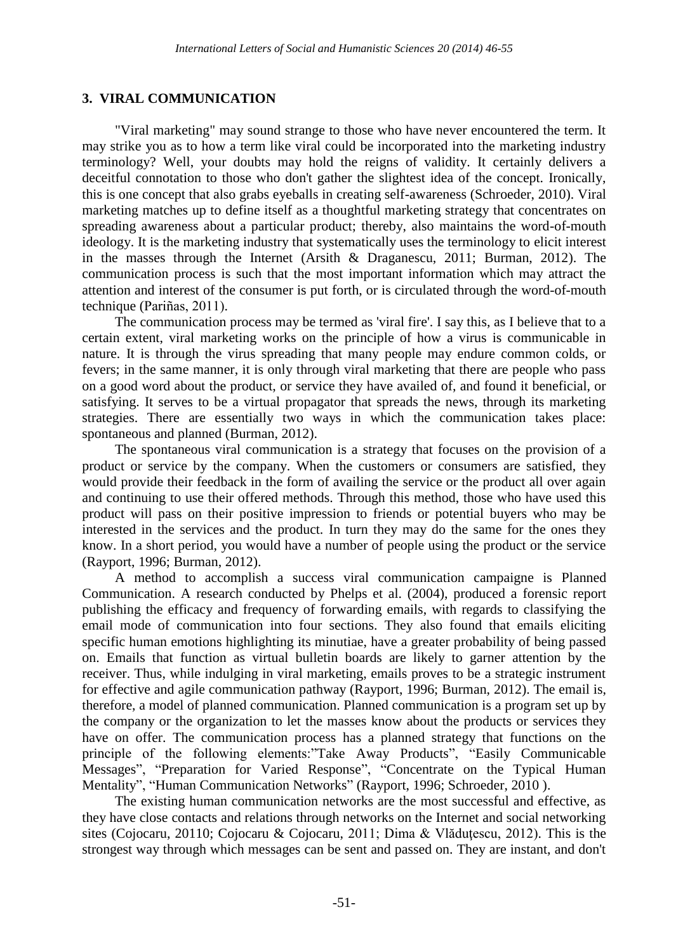### **3. VIRAL COMMUNICATION**

"Viral marketing" may sound strange to those who have never encountered the term. It may strike you as to how a term like viral could be incorporated into the marketing industry terminology? Well, your doubts may hold the reigns of validity. It certainly delivers a deceitful connotation to those who don't gather the slightest idea of the concept. Ironically, this is one concept that also grabs eyeballs in creating self-awareness (Schroeder, 2010). Viral marketing matches up to define itself as a thoughtful marketing strategy that concentrates on spreading awareness about a particular product; thereby, also maintains the word-of-mouth ideology. It is the marketing industry that systematically uses the terminology to elicit interest in the masses through the Internet (Arsith & Draganescu, 2011; Burman, 2012). The communication process is such that the most important information which may attract the attention and interest of the consumer is put forth, or is circulated through the word-of-mouth technique (Pariñas, 2011).

The communication process may be termed as 'viral fire'. I say this, as I believe that to a certain extent, viral marketing works on the principle of how a virus is communicable in nature. It is through the virus spreading that many people may endure common colds, or fevers; in the same manner, it is only through viral marketing that there are people who pass on a good word about the product, or service they have availed of, and found it beneficial, or satisfying. It serves to be a virtual propagator that spreads the news, through its marketing strategies. There are essentially two ways in which the communication takes place: spontaneous and planned (Burman, 2012).

The spontaneous viral communication is a strategy that focuses on the provision of a product or service by the company. When the customers or consumers are satisfied, they would provide their feedback in the form of availing the service or the product all over again and continuing to use their offered methods. Through this method, those who have used this product will pass on their positive impression to friends or potential buyers who may be interested in the services and the product. In turn they may do the same for the ones they know. In a short period, you would have a number of people using the product or the service (Rayport, 1996; Burman, 2012).

A method to accomplish a success viral communication campaigne is Planned Communication. A research conducted by Phelps et al. (2004), produced a forensic report publishing the efficacy and frequency of forwarding emails, with regards to classifying the email mode of communication into four sections. They also found that emails eliciting specific human emotions highlighting its minutiae, have a greater probability of being passed on. Emails that function as virtual bulletin boards are likely to garner attention by the receiver. Thus, while indulging in viral marketing, emails proves to be a strategic instrument for effective and agile communication pathway (Rayport, 1996; Burman, 2012). The email is, therefore, a model of planned communication. Planned communication is a program set up by the company or the organization to let the masses know about the products or services they have on offer. The communication process has a planned strategy that functions on the principle of the following elements:"Take Away Products", "Easily Communicable Messages", "Preparation for Varied Response", "Concentrate on the Typical Human Mentality", "Human Communication Networks" (Rayport, 1996; Schroeder, 2010 ).

The existing human communication networks are the most successful and effective, as they have close contacts and relations through networks on the Internet and social networking sites (Cojocaru, 20110; Cojocaru & Cojocaru, 2011; Dima & Vlăduţescu, 2012). This is the strongest way through which messages can be sent and passed on. They are instant, and don't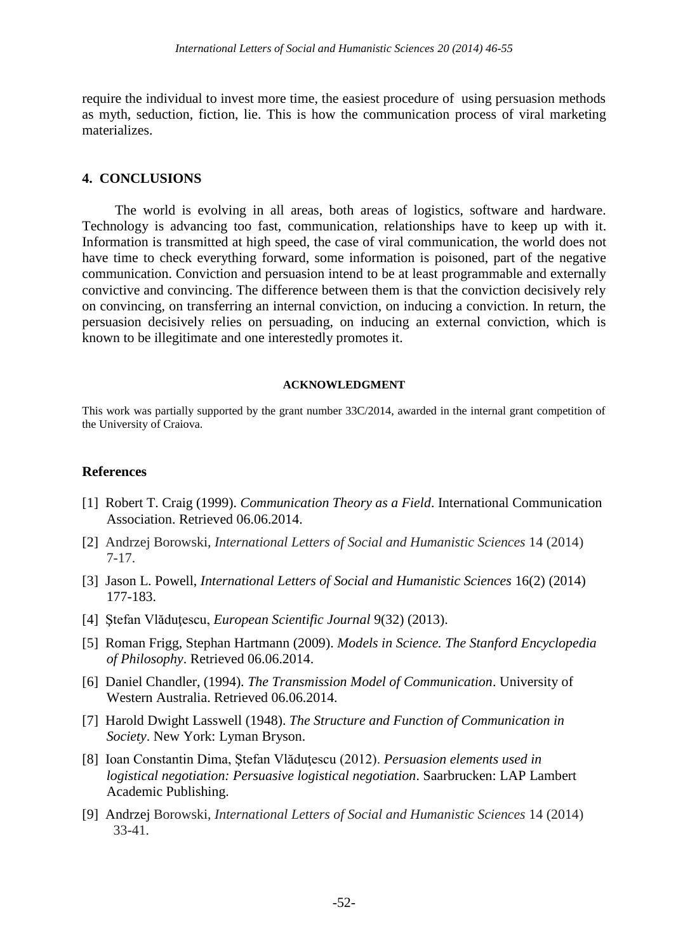require the individual to invest more time, the easiest procedure of using persuasion methods as myth, seduction, fiction, lie. This is how the communication process of viral marketing materializes.

#### **4. CONCLUSIONS**

The world is evolving in all areas, both areas of logistics, software and hardware. Technology is advancing too fast, communication, relationships have to keep up with it. Information is transmitted at high speed, the case of viral communication, the world does not have time to check everything forward, some information is poisoned, part of the negative communication. Conviction and persuasion intend to be at least programmable and externally convictive and convincing. The difference between them is that the conviction decisively rely on convincing, on transferring an internal conviction, on inducing a conviction. In return, the persuasion decisively relies on persuading, on inducing an external conviction, which is known to be illegitimate and one interestedly promotes it.

#### **ACKNOWLEDGMENT**

This work was partially supported by the grant number 33C/2014, awarded in the internal grant competition of the University of Craiova.

#### **References**

- [1] Robert T. Craig (1999). *Communication Theory as a Field*. International Communication Association. Retrieved 06.06.2014.
- [2] Andrzej Borowski, *International Letters of Social and Humanistic Sciences* 14 (2014) 7-17.
- [3] Jason L. Powell, *International Letters of Social and Humanistic Sciences* 16(2) (2014) 177-183.
- [4] Ştefan Vlăduţescu, *European Scientific Journal* 9(32) (2013).
- [5] Roman Frigg, Stephan Hartmann (2009). *Models in Science. The Stanford Encyclopedia of Philosophy*. Retrieved 06.06.2014.
- [6] Daniel Chandler, (1994). *The Transmission Model of Communication*. University of Western Australia. Retrieved 06.06.2014.
- [7] Harold Dwight Lasswell (1948). *The Structure and Function of Communication in Society*. New York: Lyman Bryson.
- [8] Ioan Constantin Dima, Ştefan Vlăduţescu (2012). *Persuasion elements used in logistical negotiation: Persuasive logistical negotiation*. Saarbrucken: LAP Lambert Academic Publishing.
- [9] Andrzej Borowski, *International Letters of Social and Humanistic Sciences* 14 (2014) 33-41.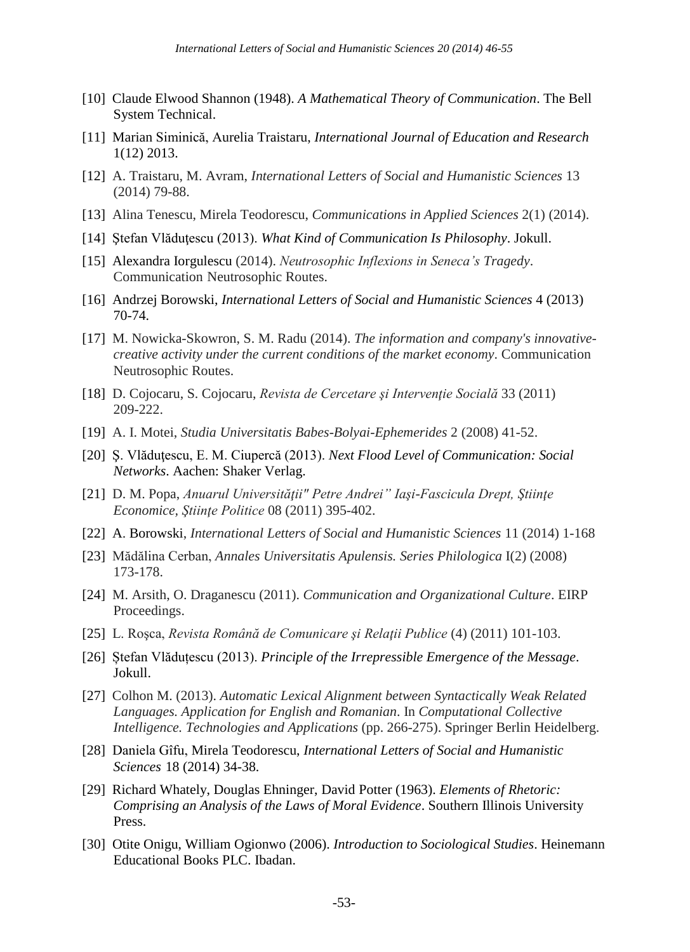- [10] Claude Elwood Shannon (1948). *A Mathematical Theory of Communication*. The Bell System Technical.
- [11] Marian Siminică, Aurelia Traistaru, *International Journal of Education and Research* 1(12) 2013.
- [12] A. Traistaru, M. Avram, *International Letters of Social and Humanistic Sciences* 13 (2014) 79-88.
- [13] Alina Tenescu, Mirela Teodorescu, *Communications in Applied Sciences* 2(1) (2014).
- [14] Ştefan Vlăduţescu (2013). *What Kind of Communication Is Philosophy*. Jokull.
- [15] Alexandra Iorgulescu (2014). *Neutrosophic Inflexions in Seneca's Tragedy*. Communication Neutrosophic Routes.
- [16] Andrzej Borowski, *International Letters of Social and Humanistic Sciences* 4 (2013) 70-74.
- [17] M. Nowicka-Skowron, S. M. Radu (2014). *The information and company's innovative creative activity under the current conditions of the market economy*. Communication Neutrosophic Routes.
- [18] D. Cojocaru, S. Cojocaru, *Revista de Cercetare şi Intervenţie Socială* 33 (2011) 209-222.
- [19] A. I. Motei, *Studia Universitatis Babes-Bolyai-Ephemerides* 2 (2008) 41-52.
- [20] Ş. Vlăduţescu, E. M. Ciupercă (2013). *Next Flood Level of Communication: Social Networks*. Aachen: Shaker Verlag.
- [21] D. M. Popa, *Anuarul Universităţii" Petre Andrei" Iaşi-Fascicula Drept, Ştiinţe Economice, Ştiinţe Politice* 08 (2011) 395-402.
- [22] A. Borowski, *International Letters of Social and Humanistic Sciences* 11 (2014) 1-168
- [23] Mădălina Cerban, *Annales Universitatis Apulensis. Series Philologica* I(2) (2008) 173-178.
- [24] M. Arsith, O. Draganescu (2011). *Communication and Organizational Culture*. EIRP Proceedings.
- [25] L. Roşca, *Revista Română de Comunicare şi Relaţii Publice* (4) (2011) 101-103.
- [26] Ștefan Vlăduțescu (2013). *Principle of the Irrepressible Emergence of the Message*. Jokull.
- [27] Colhon M. (2013). *Automatic Lexical Alignment between Syntactically Weak Related Languages. Application for English and Romanian*. In *Computational Collective Intelligence. Technologies and Applications* (pp. 266-275). Springer Berlin Heidelberg.
- [28] Daniela Gîfu, Mirela Teodorescu, *International Letters of Social and Humanistic Sciences* 18 (2014) 34-38.
- [29] Richard Whately, Douglas Ehninger, David Potter (1963). *Elements of Rhetoric: Comprising an Analysis of the Laws of Moral Evidence*. Southern Illinois University Press.
- [30] Otite Onigu, William Ogionwo (2006). *Introduction to Sociological Studies*. Heinemann Educational Books PLC. Ibadan.